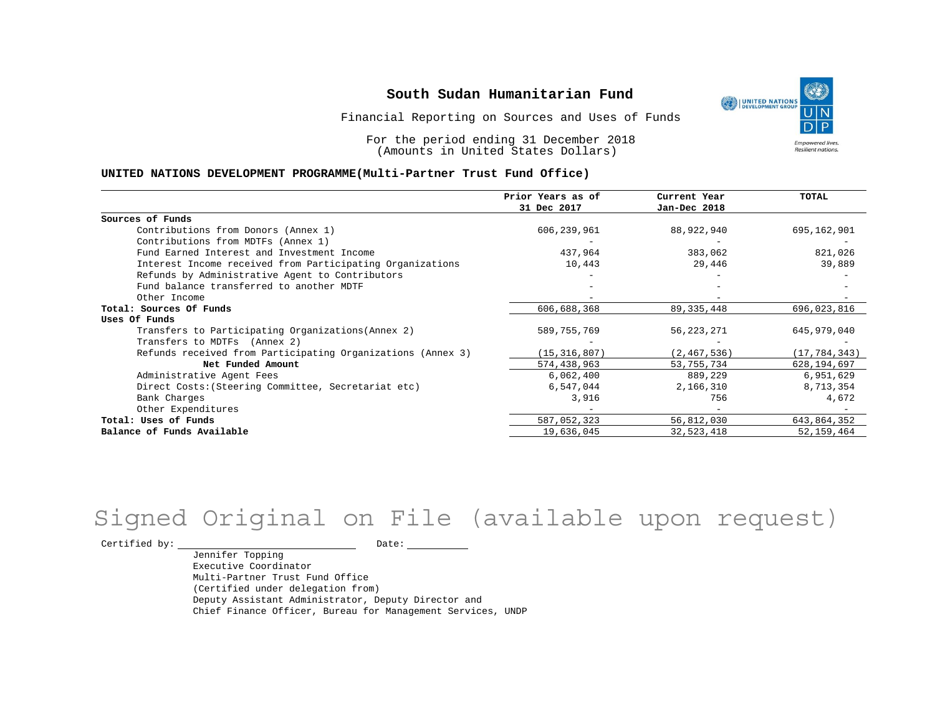Financial Reporting on Sources and Uses of Funds

For the period ending 31 December 2018 (Amounts in United States Dollars)

#### **UNITED NATIONS DEVELOPMENT PROGRAMME(Multi-Partner Trust Fund Office)**

|                                                             | Prior Years as of<br>31 Dec 2017 | Current Year<br>Jan-Dec 2018 | <b>TOTAL</b>   |
|-------------------------------------------------------------|----------------------------------|------------------------------|----------------|
|                                                             |                                  |                              |                |
| Sources of Funds                                            |                                  |                              |                |
| Contributions from Donors (Annex 1)                         | 606,239,961                      | 88,922,940                   | 695,162,901    |
| Contributions from MDTFs (Annex 1)                          |                                  |                              |                |
| Fund Earned Interest and Investment Income                  | 437,964                          | 383,062                      | 821,026        |
| Interest Income received from Participating Organizations   | 10,443                           | 29,446                       | 39,889         |
| Refunds by Administrative Agent to Contributors             |                                  |                              |                |
| Fund balance transferred to another MDTF                    |                                  |                              |                |
| Other Income                                                |                                  |                              |                |
| Total: Sources Of Funds                                     | 606,688,368                      | 89, 335, 448                 | 696,023,816    |
| Uses Of Funds                                               |                                  |                              |                |
| Transfers to Participating Organizations (Annex 2)          | 589,755,769                      | 56, 223, 271                 | 645,979,040    |
| Transfers to MDTFs (Annex 2)                                |                                  |                              |                |
| Refunds received from Participating Organizations (Annex 3) | (15, 316, 807)                   | (2, 467, 536)                | (17, 784, 343) |
| Net Funded Amount                                           | 574,438,963                      | 53,755,734                   | 628, 194, 697  |
| Administrative Agent Fees                                   | 6,062,400                        | 889,229                      | 6,951,629      |
| Direct Costs: (Steering Committee, Secretariat etc)         | 6,547,044                        | 2,166,310                    | 8,713,354      |
| Bank Charges                                                | 3,916                            | 756                          | 4,672          |
| Other Expenditures                                          |                                  |                              |                |
| Total: Uses of Funds                                        | 587,052,323                      | 56,812,030                   | 643,864,352    |
| Balance of Funds Available                                  | 19,636,045                       | 32,523,418                   | 52, 159, 464   |

## Signed Original on File (available upon request)

Certified by: Date:

Jennifer Topping Executive Coordinator Multi-Partner Trust Fund Office (Certified under delegation from) Deputy Assistant Administrator, Deputy Director and Chief Finance Officer, Bureau for Management Services, UNDP

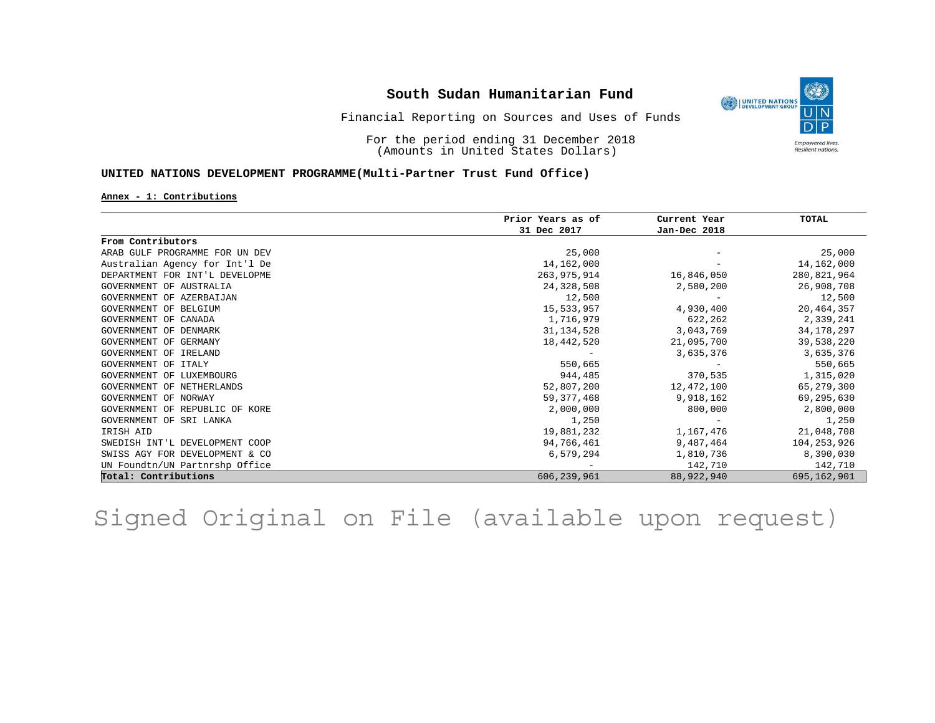

Financial Reporting on Sources and Uses of Funds

For the period ending 31 December 2018 (Amounts in United States Dollars)

#### **UNITED NATIONS DEVELOPMENT PROGRAMME(Multi-Partner Trust Fund Office)**

#### **Annex - 1: Contributions**

|                                | Prior Years as of<br>31 Dec 2017 | Current Year<br>Jan-Dec 2018 | TOTAL        |
|--------------------------------|----------------------------------|------------------------------|--------------|
|                                |                                  |                              |              |
| From Contributors              |                                  |                              |              |
| ARAB GULF PROGRAMME FOR UN DEV | 25,000                           |                              | 25,000       |
| Australian Agency for Int'l De | 14,162,000                       |                              | 14,162,000   |
| DEPARTMENT FOR INT'L DEVELOPME | 263, 975, 914                    | 16,846,050                   | 280,821,964  |
| GOVERNMENT OF AUSTRALIA        | 24,328,508                       | 2,580,200                    | 26,908,708   |
| GOVERNMENT OF AZERBALJAN       | 12,500                           |                              | 12,500       |
| GOVERNMENT OF BELGIUM          | 15,533,957                       | 4,930,400                    | 20,464,357   |
| GOVERNMENT OF<br>CANADA        | 1,716,979                        | 622,262                      | 2,339,241    |
| GOVERNMENT OF DENMARK          | 31, 134, 528                     | 3,043,769                    | 34, 178, 297 |
| GOVERNMENT OF GERMANY          | 18,442,520                       | 21,095,700                   | 39,538,220   |
| GOVERNMENT OF<br>IRELAND       |                                  | 3,635,376                    | 3,635,376    |
| GOVERNMENT OF<br>ITALY         | 550,665                          |                              | 550,665      |
| GOVERNMENT OF<br>LUXEMBOURG    | 944,485                          | 370,535                      | 1,315,020    |
| GOVERNMENT OF NETHERLANDS      | 52,807,200                       | 12,472,100                   | 65,279,300   |
| GOVERNMENT OF NORWAY           | 59, 377, 468                     | 9,918,162                    | 69,295,630   |
| GOVERNMENT OF REPUBLIC OF KORE | 2,000,000                        | 800,000                      | 2,800,000    |
| GOVERNMENT OF SRI LANKA        | 1,250                            |                              | 1,250        |
| IRISH AID                      | 19,881,232                       | 1,167,476                    | 21,048,708   |
| SWEDISH INT'L DEVELOPMENT COOP | 94,766,461                       | 9,487,464                    | 104,253,926  |
| SWISS AGY FOR DEVELOPMENT & CO | 6,579,294                        | 1,810,736                    | 8,390,030    |
| UN Foundtn/UN Partnrshp Office |                                  | 142,710                      | 142,710      |
| Total: Contributions           | 606,239,961                      | 88,922,940                   | 695,162,901  |

Signed Original on File (available upon request)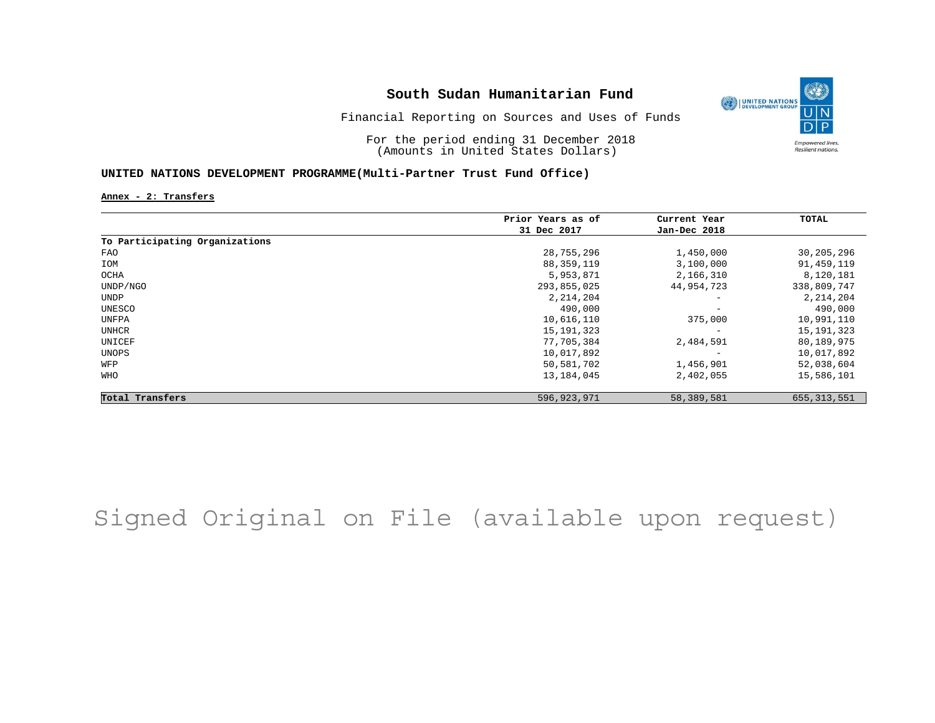

Financial Reporting on Sources and Uses of Funds

For the period ending 31 December 2018 (Amounts in United States Dollars)

#### **UNITED NATIONS DEVELOPMENT PROGRAMME(Multi-Partner Trust Fund Office)**

**Annex - 2: Transfers**

|                                | Prior Years as of | Current Year             | TOTAL         |
|--------------------------------|-------------------|--------------------------|---------------|
|                                | 31 Dec 2017       | Jan-Dec 2018             |               |
| To Participating Organizations |                   |                          |               |
| FAO                            | 28,755,296        | 1,450,000                | 30,205,296    |
| IOM                            | 88,359,119        | 3,100,000                | 91,459,119    |
| OCHA                           | 5,953,871         | 2,166,310                | 8,120,181     |
| UNDP/NGO                       | 293,855,025       | 44,954,723               | 338,809,747   |
| UNDP                           | 2, 214, 204       | $\qquad \qquad -$        | 2, 214, 204   |
| UNESCO                         | 490,000           | $\qquad \qquad -$        | 490,000       |
| UNFPA                          | 10,616,110        | 375,000                  | 10,991,110    |
| <b>UNHCR</b>                   | 15, 191, 323      | $\overline{\phantom{a}}$ | 15, 191, 323  |
| UNICEF                         | 77,705,384        | 2,484,591                | 80,189,975    |
| UNOPS                          | 10,017,892        |                          | 10,017,892    |
| WFP                            | 50,581,702        | 1,456,901                | 52,038,604    |
| WHO                            | 13,184,045        | 2,402,055                | 15,586,101    |
| Total Transfers                | 596, 923, 971     | 58,389,581               | 655, 313, 551 |

# Signed Original on File (available upon request)